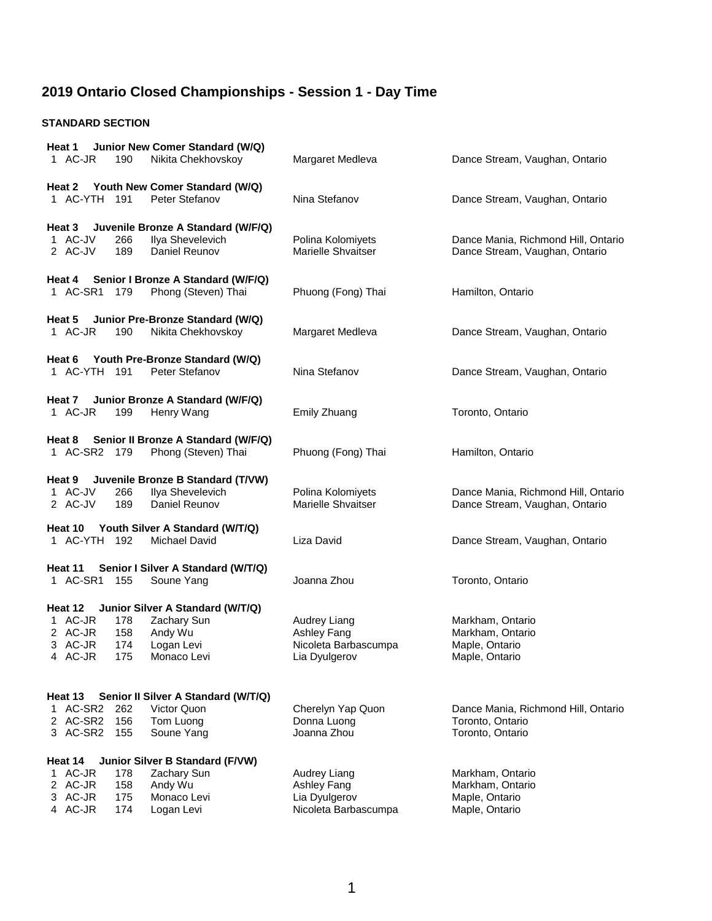#### **STANDARD SECTION**

| Junior New Comer Standard (W/Q)<br>Heat 1<br>1 AC-JR<br>Nikita Chekhovskoy<br>190                                                                                          | Margaret Medleva                                                     | Dance Stream, Vaughan, Ontario                                              |
|----------------------------------------------------------------------------------------------------------------------------------------------------------------------------|----------------------------------------------------------------------|-----------------------------------------------------------------------------|
|                                                                                                                                                                            |                                                                      |                                                                             |
| Youth New Comer Standard (W/Q)<br>Heat 2<br>1 AC-YTH 191<br>Peter Stefanov                                                                                                 | Nina Stefanov                                                        | Dance Stream, Vaughan, Ontario                                              |
| Juvenile Bronze A Standard (W/F/Q)<br>Heat 3<br>1 AC-JV<br>Ilya Shevelevich<br>266<br>2 AC-JV<br>189<br>Daniel Reunov                                                      | Polina Kolomiyets<br>Marielle Shvaitser                              | Dance Mania, Richmond Hill, Ontario<br>Dance Stream, Vaughan, Ontario       |
| Heat 4 Senior I Bronze A Standard (W/F/Q)<br>Phong (Steven) Thai<br>1 AC-SR1 179                                                                                           | Phuong (Fong) Thai                                                   | Hamilton, Ontario                                                           |
| Heat 5 Junior Pre-Bronze Standard (W/Q)<br>1 AC-JR<br>190<br>Nikita Chekhovskoy                                                                                            | Margaret Medleva                                                     | Dance Stream, Vaughan, Ontario                                              |
| Youth Pre-Bronze Standard (W/Q)<br>Heat 6<br>Peter Stefanov<br>1 AC-YTH 191                                                                                                | Nina Stefanov                                                        | Dance Stream, Vaughan, Ontario                                              |
| Junior Bronze A Standard (W/F/Q)<br>Heat 7<br>1 AC-JR<br>199<br>Henry Wang                                                                                                 | Emily Zhuang                                                         | Toronto, Ontario                                                            |
| Senior II Bronze A Standard (W/F/Q)<br>Heat 8<br>1 AC-SR2 179<br>Phong (Steven) Thai                                                                                       | Phuong (Fong) Thai                                                   | Hamilton, Ontario                                                           |
| Heat 9 Juvenile Bronze B Standard (T/VW)<br>1 AC-JV<br>Ilya Shevelevich<br>266<br>2 AC-JV<br>189<br>Daniel Reunov                                                          | Polina Kolomiyets<br>Marielle Shvaitser                              | Dance Mania, Richmond Hill, Ontario<br>Dance Stream, Vaughan, Ontario       |
| Heat 10<br>Youth Silver A Standard (W/T/Q)<br>1 AC-YTH 192<br>Michael David                                                                                                | Liza David                                                           | Dance Stream, Vaughan, Ontario                                              |
| Senior I Silver A Standard (W/T/Q)<br>Heat 11<br>1 AC-SR1<br>155<br>Soune Yang                                                                                             | Joanna Zhou                                                          | Toronto, Ontario                                                            |
| Heat 12<br>Junior Silver A Standard (W/T/Q)<br>1 AC-JR<br>178<br>Zachary Sun<br>2 AC-JR<br>158<br>Andy Wu<br>3 AC-JR<br>174<br>Logan Levi<br>4 AC-JR<br>175<br>Monaco Levi | Audrey Liang<br>Ashley Fang<br>Nicoleta Barbascumpa<br>Lia Dyulgerov | Markham, Ontario<br>Markham, Ontario<br>Maple, Ontario<br>Maple, Ontario    |
| Senior II Silver A Standard (W/T/Q)<br>Heat 13<br>1 AC-SR2<br>262<br>Victor Quon<br>2 AC-SR2<br>156<br>Tom Luong<br>3 AC-SR2<br>155<br>Soune Yang                          | Cherelyn Yap Quon<br>Donna Luong<br>Joanna Zhou                      | Dance Mania, Richmond Hill, Ontario<br>Toronto, Ontario<br>Toronto, Ontario |
| Junior Silver B Standard (F/VW)<br>Heat 14                                                                                                                                 |                                                                      |                                                                             |
| 1 AC-JR<br>Zachary Sun<br>178<br>2 AC-JR<br>158<br>Andy Wu<br>3 AC-JR<br>175<br>Monaco Levi<br>4 AC-JR<br>174<br>Logan Levi                                                | Audrey Liang<br>Ashley Fang<br>Lia Dyulgerov<br>Nicoleta Barbascumpa | Markham, Ontario<br>Markham, Ontario<br>Maple, Ontario<br>Maple, Ontario    |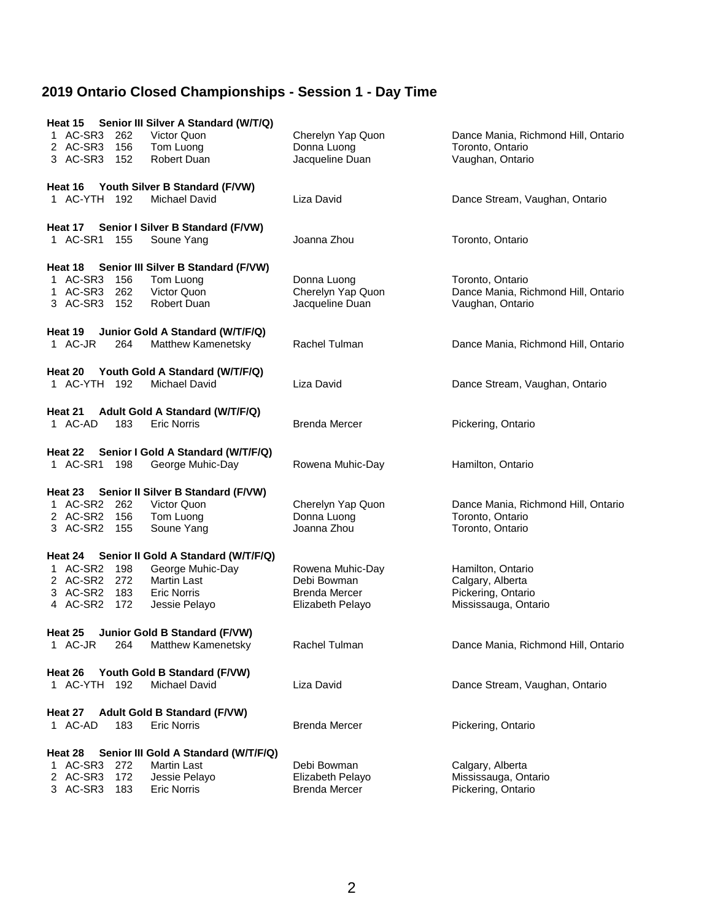| Heat 15 Senior III Silver A Standard (W/T/Q)<br>1 AC-SR3<br>262<br>Victor Quon<br>2 AC-SR3 156<br>Tom Luong<br>3 AC-SR3 152<br>Robert Duan                                                         | Cherelyn Yap Quon<br>Donna Luong<br>Jacqueline Duan                         | Dance Mania, Richmond Hill, Ontario<br>Toronto, Ontario<br>Vaughan, Ontario         |
|----------------------------------------------------------------------------------------------------------------------------------------------------------------------------------------------------|-----------------------------------------------------------------------------|-------------------------------------------------------------------------------------|
| Heat 16 Youth Silver B Standard (F/VW)<br>1 AC-YTH 192<br>Michael David                                                                                                                            | Liza David                                                                  | Dance Stream, Vaughan, Ontario                                                      |
| Heat 17 Senior I Silver B Standard (F/VW)<br>1 AC-SR1 155<br>Soune Yang                                                                                                                            | Joanna Zhou                                                                 | Toronto, Ontario                                                                    |
| Heat 18 Senior III Silver B Standard (F/VW)<br>1 AC-SR3<br>Tom Luong<br>156<br>1 AC-SR3 262<br>Victor Quon<br>3 AC-SR3 152<br><b>Robert Duan</b>                                                   | Donna Luong<br>Cherelyn Yap Quon<br>Jacqueline Duan                         | Toronto, Ontario<br>Dance Mania, Richmond Hill, Ontario<br>Vaughan, Ontario         |
| Junior Gold A Standard (W/T/F/Q)<br>Heat 19<br>1 AC-JR<br>Matthew Kamenetsky<br>264                                                                                                                | Rachel Tulman                                                               | Dance Mania, Richmond Hill, Ontario                                                 |
| Heat 20<br>Youth Gold A Standard (W/T/F/Q)<br>1 AC-YTH 192<br><b>Michael David</b>                                                                                                                 | Liza David                                                                  | Dance Stream, Vaughan, Ontario                                                      |
| Heat 21<br>Adult Gold A Standard (W/T/F/Q)<br>1 AC-AD<br>183<br><b>Eric Norris</b>                                                                                                                 | <b>Brenda Mercer</b>                                                        | Pickering, Ontario                                                                  |
| Heat 22 Senior I Gold A Standard (W/T/F/Q)<br>1 AC-SR1<br>George Muhic-Day<br>198                                                                                                                  | Rowena Muhic-Day                                                            | Hamilton, Ontario                                                                   |
| Heat 23 Senior II Silver B Standard (F/VW)<br>1 AC-SR2 262<br>Victor Quon<br>2 AC-SR2 156<br>Tom Luong<br>3 AC-SR2 155<br>Soune Yang                                                               | Cherelyn Yap Quon<br>Donna Luong<br>Joanna Zhou                             | Dance Mania, Richmond Hill, Ontario<br>Toronto, Ontario<br>Toronto, Ontario         |
| Senior II Gold A Standard (W/T/F/Q)<br>Heat 24<br>1 AC-SR2 198<br>George Muhic-Day<br>2 AC-SR2 272<br><b>Martin Last</b><br>3 AC-SR2 183<br><b>Eric Norris</b><br>4 AC-SR2<br>172<br>Jessie Pelayo | Rowena Muhic-Day<br>Debi Bowman<br><b>Brenda Mercer</b><br>Elizabeth Pelayo | Hamilton, Ontario<br>Calgary, Alberta<br>Pickering, Ontario<br>Mississauga, Ontario |
| Heat 25<br><b>Junior Gold B Standard (F/VW)</b><br>Matthew Kamenetsky<br>1 AC-JR<br>264                                                                                                            | Rachel Tulman                                                               | Dance Mania, Richmond Hill, Ontario                                                 |
| Heat 26<br>Youth Gold B Standard (F/VW)<br>1 AC-YTH<br>192<br><b>Michael David</b>                                                                                                                 | Liza David                                                                  | Dance Stream, Vaughan, Ontario                                                      |
| <b>Adult Gold B Standard (F/VW)</b><br>Heat 27<br>1 AC-AD<br>183<br><b>Eric Norris</b>                                                                                                             | <b>Brenda Mercer</b>                                                        | Pickering, Ontario                                                                  |
| Heat 28<br>Senior III Gold A Standard (W/T/F/Q)<br>AC-SR3<br>272<br><b>Martin Last</b><br>2 AC-SR3<br>172<br>Jessie Pelayo<br>3 AC-SR3<br>183<br><b>Eric Norris</b>                                | Debi Bowman<br>Elizabeth Pelayo<br><b>Brenda Mercer</b>                     | Calgary, Alberta<br>Mississauga, Ontario<br>Pickering, Ontario                      |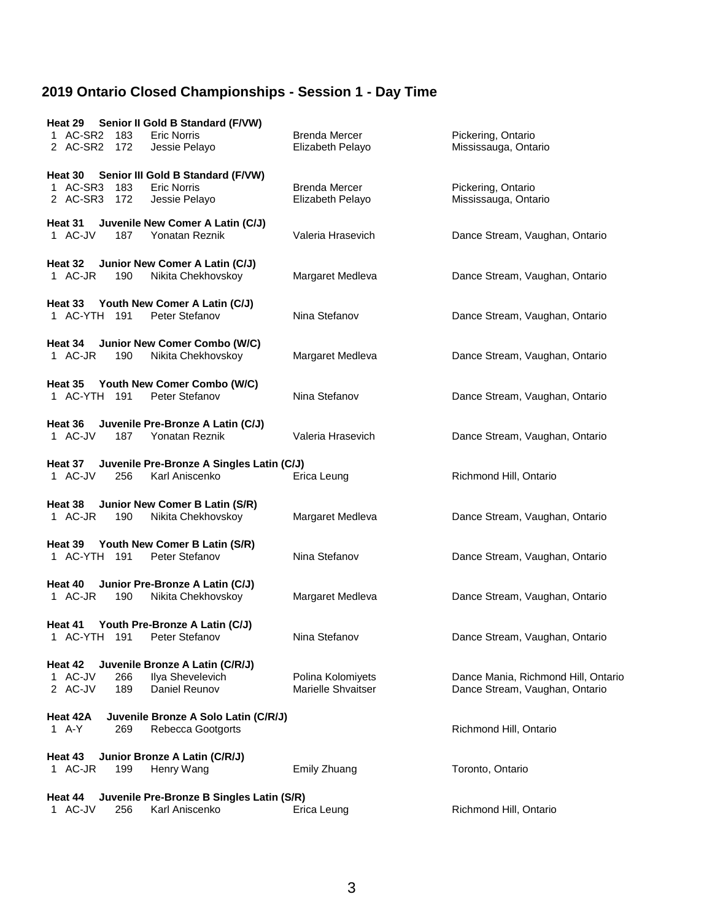| Senior II Gold B Standard (F/VW)<br>Heat 29<br>1 AC-SR2 183<br><b>Eric Norris</b><br>2 AC-SR2 172<br>Jessie Pelayo        | <b>Brenda Mercer</b><br>Elizabeth Pelayo | Pickering, Ontario<br>Mississauga, Ontario                            |
|---------------------------------------------------------------------------------------------------------------------------|------------------------------------------|-----------------------------------------------------------------------|
| Senior III Gold B Standard (F/VW)<br>Heat 30<br>1 AC-SR3<br>183<br><b>Eric Norris</b><br>2 AC-SR3<br>Jessie Pelayo<br>172 | <b>Brenda Mercer</b><br>Elizabeth Pelayo | Pickering, Ontario<br>Mississauga, Ontario                            |
| Juvenile New Comer A Latin (C/J)<br>Heat 31<br>Yonatan Reznik<br>1 AC-JV<br>187                                           | Valeria Hrasevich                        | Dance Stream, Vaughan, Ontario                                        |
| Junior New Comer A Latin (C/J)<br>Heat 32<br>Nikita Chekhovskoy<br>1 AC-JR<br>190                                         | Margaret Medleva                         | Dance Stream, Vaughan, Ontario                                        |
| Heat 33 Youth New Comer A Latin (C/J)<br>1 AC-YTH 191<br>Peter Stefanov                                                   | Nina Stefanov                            | Dance Stream, Vaughan, Ontario                                        |
| Junior New Comer Combo (W/C)<br>Heat 34<br>1 AC-JR<br>Nikita Chekhovskoy<br>190                                           | Margaret Medleva                         | Dance Stream, Vaughan, Ontario                                        |
| Heat 35 Youth New Comer Combo (W/C)<br>1 AC-YTH 191<br>Peter Stefanov                                                     | Nina Stefanov                            | Dance Stream, Vaughan, Ontario                                        |
| Juvenile Pre-Bronze A Latin (C/J)<br>Heat 36<br>1 AC-JV<br>187<br>Yonatan Reznik                                          | Valeria Hrasevich                        | Dance Stream, Vaughan, Ontario                                        |
| Heat 37 Juvenile Pre-Bronze A Singles Latin (C/J)<br>1 AC-JV<br>Karl Aniscenko<br>256                                     | Erica Leung                              | Richmond Hill, Ontario                                                |
| Heat 38 Junior New Comer B Latin (S/R)<br>1 AC-JR<br>Nikita Chekhovskoy<br>190                                            | Margaret Medleva                         | Dance Stream, Vaughan, Ontario                                        |
| Heat 39 Youth New Comer B Latin (S/R)<br>1 AC-YTH 191<br>Peter Stefanov                                                   | Nina Stefanov                            | Dance Stream, Vaughan, Ontario                                        |
| Junior Pre-Bronze A Latin (C/J)<br>Heat 40<br>Nikita Chekhovskoy<br>1 AC-JR<br>190                                        | Margaret Medleva                         | Dance Stream, Vaughan, Ontario                                        |
| Heat 41 Youth Pre-Bronze A Latin (C/J)<br>1 AC-YTH 191 Peter Stefanov                                                     | Nina Stefanov                            | Dance Stream, Vaughan, Ontario                                        |
| Juvenile Bronze A Latin (C/R/J)<br>Heat 42<br>1 AC-JV<br>Ilya Shevelevich<br>266<br>2 AC-JV<br>189<br>Daniel Reunov       | Polina Kolomiyets<br>Marielle Shvaitser  | Dance Mania, Richmond Hill, Ontario<br>Dance Stream, Vaughan, Ontario |
| Juvenile Bronze A Solo Latin (C/R/J)<br>Heat 42A<br>1 A-Y<br>Rebecca Gootgorts<br>269                                     |                                          | Richmond Hill, Ontario                                                |
| Heat 43<br>Junior Bronze A Latin (C/R/J)<br>1 AC-JR<br>199<br>Henry Wang                                                  | Emily Zhuang                             | Toronto, Ontario                                                      |
| Juvenile Pre-Bronze B Singles Latin (S/R)<br>Heat 44<br>1 AC-JV<br>Karl Aniscenko<br>256                                  | Erica Leung                              | Richmond Hill, Ontario                                                |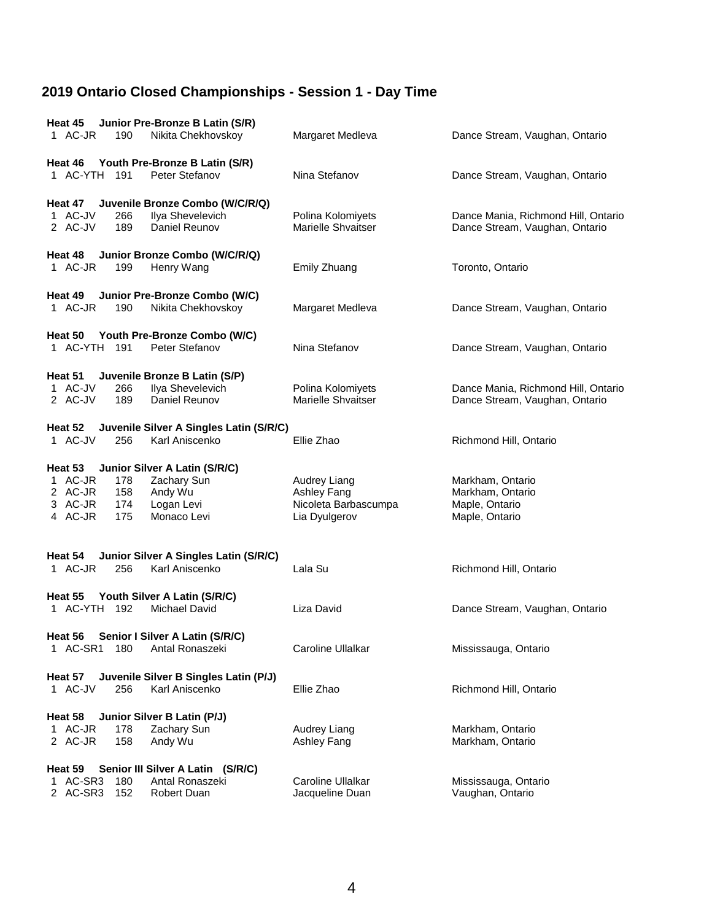| Junior Pre-Bronze B Latin (S/R)<br>Heat 45<br>1 AC-JR<br>Nikita Chekhovskoy<br>190                                                                                      | Margaret Medleva                                                     | Dance Stream, Vaughan, Ontario                                           |
|-------------------------------------------------------------------------------------------------------------------------------------------------------------------------|----------------------------------------------------------------------|--------------------------------------------------------------------------|
| Youth Pre-Bronze B Latin (S/R)<br>Heat 46<br>1 AC-YTH 191<br>Peter Stefanov                                                                                             | Nina Stefanov                                                        | Dance Stream, Vaughan, Ontario                                           |
| Juvenile Bronze Combo (W/C/R/Q)<br>Heat 47<br>1 AC-JV<br>Ilya Shevelevich<br>266<br>189<br>2 AC-JV<br>Daniel Reunov                                                     | Polina Kolomiyets<br>Marielle Shvaitser                              | Dance Mania, Richmond Hill, Ontario<br>Dance Stream, Vaughan, Ontario    |
| Heat 48 Junior Bronze Combo (W/C/R/Q)<br>1 AC-JR<br>199<br>Henry Wang                                                                                                   | Emily Zhuang                                                         | Toronto, Ontario                                                         |
| Heat 49 Junior Pre-Bronze Combo (W/C)<br>1 AC-JR<br>190<br>Nikita Chekhovskoy                                                                                           | Margaret Medleva                                                     | Dance Stream, Vaughan, Ontario                                           |
| Heat 50 Youth Pre-Bronze Combo (W/C)<br>1 AC-YTH 191<br>Peter Stefanov                                                                                                  | Nina Stefanov                                                        | Dance Stream, Vaughan, Ontario                                           |
| Heat 51<br>Juvenile Bronze B Latin (S/P)<br>Ilya Shevelevich<br>1 AC-JV<br>266<br>2 AC-JV<br>189<br>Daniel Reunov                                                       | Polina Kolomiyets<br>Marielle Shvaitser                              | Dance Mania, Richmond Hill, Ontario<br>Dance Stream, Vaughan, Ontario    |
| Heat 52<br>Juvenile Silver A Singles Latin (S/R/C)<br>1 AC-JV<br>256<br>Karl Aniscenko                                                                                  | Ellie Zhao                                                           | Richmond Hill, Ontario                                                   |
| Junior Silver A Latin (S/R/C)<br>Heat 53<br>1 AC-JR<br>Zachary Sun<br>178<br>2 AC-JR<br>158<br>Andy Wu<br>3 AC-JR<br>Logan Levi<br>174<br>4 AC-JR<br>175<br>Monaco Levi | Audrey Liang<br>Ashley Fang<br>Nicoleta Barbascumpa<br>Lia Dyulgerov | Markham, Ontario<br>Markham, Ontario<br>Maple, Ontario<br>Maple, Ontario |
| Heat 54<br>Junior Silver A Singles Latin (S/R/C)<br>1 AC-JR<br>Karl Aniscenko<br>256                                                                                    | Lala Su                                                              | Richmond Hill, Ontario                                                   |
| Heat 55<br>Youth Silver A Latin (S/R/C)<br>1 AC-YTH<br>192<br><b>Michael David</b>                                                                                      | Liza David                                                           | Dance Stream, Vaughan, Ontario                                           |
| Senior I Silver A Latin (S/R/C)<br>Heat 56<br>1 AC-SR1 180<br>Antal Ronaszeki                                                                                           | Caroline Ullalkar                                                    | Mississauga, Ontario                                                     |
| Juvenile Silver B Singles Latin (P/J)<br>Heat 57<br>1 AC-JV<br>Karl Aniscenko<br>256                                                                                    | Ellie Zhao                                                           | Richmond Hill, Ontario                                                   |
| Junior Silver B Latin (P/J)<br>Heat 58<br>1 AC-JR<br>178<br>Zachary Sun<br>2 AC-JR<br>158<br>Andy Wu                                                                    | Audrey Liang<br>Ashley Fang                                          | Markham, Ontario<br>Markham, Ontario                                     |
| Senior III Silver A Latin (S/R/C)<br>Heat 59<br>1 AC-SR3<br>Antal Ronaszeki<br>180<br>2 AC-SR3<br>152<br><b>Robert Duan</b>                                             | Caroline Ullalkar<br>Jacqueline Duan                                 | Mississauga, Ontario<br>Vaughan, Ontario                                 |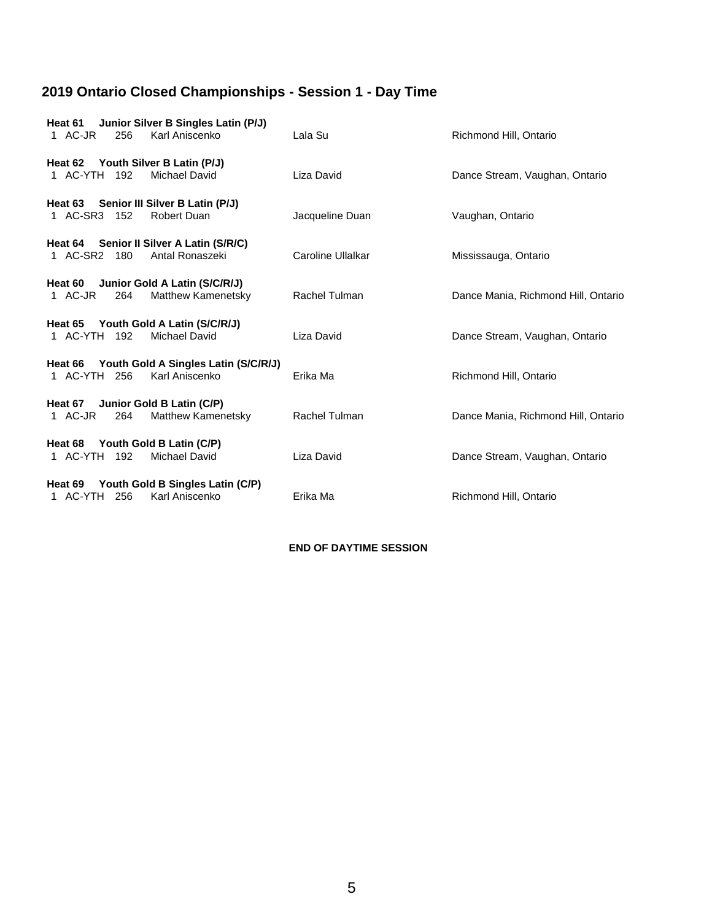| Heat 61<br>1 AC-JR<br>256                               | Junior Silver B Singles Latin (P/J)<br>Karl Aniscenko          | Lala Su           | Richmond Hill, Ontario              |
|---------------------------------------------------------|----------------------------------------------------------------|-------------------|-------------------------------------|
| Heat 62 Youth Silver B Latin (P/J)<br>1 AC-YTH 192      | Michael David                                                  | Liza David        | Dance Stream, Vaughan, Ontario      |
| Heat 63 Senior III Silver B Latin (P/J)<br>1 AC-SR3 152 | Robert Duan                                                    | Jacqueline Duan   | Vaughan, Ontario                    |
| 1 AC-SR2 180                                            | Heat 64 Senior II Silver A Latin (S/R/C)<br>Antal Ronaszeki    | Caroline Ullalkar | Mississauga, Ontario                |
| Heat 60 Junior Gold A Latin (S/C/R/J)<br>1 AC-JR<br>264 | Matthew Kamenetsky                                             | Rachel Tulman     | Dance Mania, Richmond Hill, Ontario |
| Heat 65 Youth Gold A Latin (S/C/R/J)<br>1 AC-YTH 192    | Michael David                                                  | Liza David        | Dance Stream, Vaughan, Ontario      |
| 1 AC-YTH 256                                            | Heat 66 Youth Gold A Singles Latin (S/C/R/J)<br>Karl Aniscenko | Erika Ma          | Richmond Hill, Ontario              |
| Heat 67 Junior Gold B Latin (C/P)<br>1 AC-JR<br>264     | Matthew Kamenetsky                                             | Rachel Tulman     | Dance Mania, Richmond Hill, Ontario |
| Heat 68 Youth Gold B Latin (C/P)<br>1 AC-YTH 192        | Michael David                                                  | Liza David        | Dance Stream, Vaughan, Ontario      |
| Heat 69<br>1 AC-YTH 256                                 | Youth Gold B Singles Latin (C/P)<br>Karl Aniscenko             | Erika Ma          | Richmond Hill, Ontario              |

**END OF DAYTIME SESSION**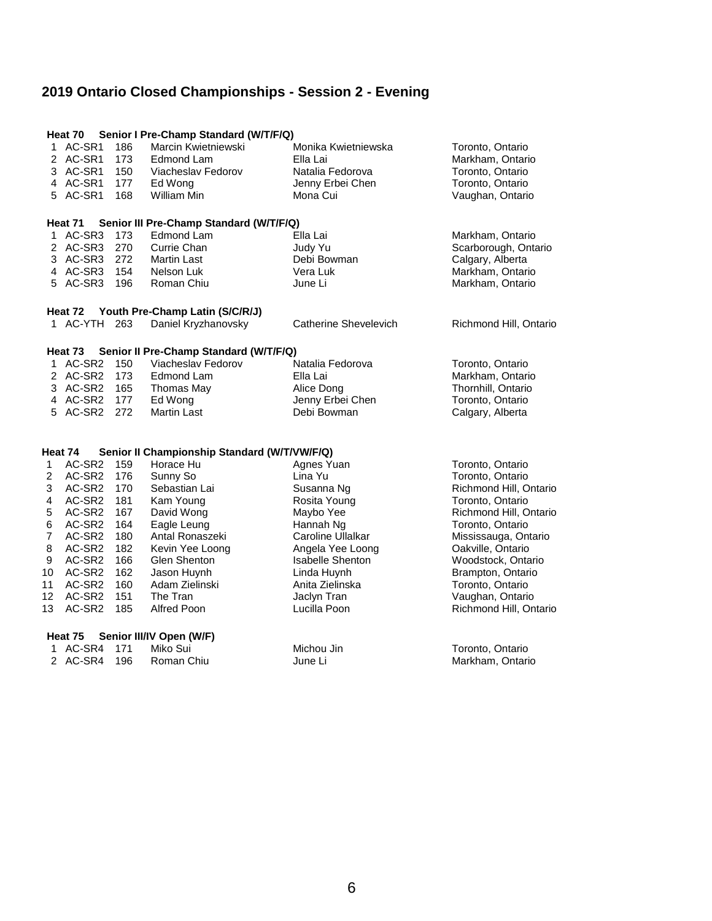|                | Heat 70            |     | Senior I Pre-Champ Standard (W/T/F/Q)        |                              |                        |
|----------------|--------------------|-----|----------------------------------------------|------------------------------|------------------------|
|                | 1 AC-SR1           | 186 | Marcin Kwietniewski                          | Monika Kwietniewska          | Toronto, Ontario       |
|                | 2 AC-SR1           | 173 | Edmond Lam                                   | Ella Lai                     | Markham, Ontario       |
|                | 3 AC-SR1           | 150 | Viacheslav Fedorov                           | Natalia Fedorova             | Toronto, Ontario       |
|                | 4 AC-SR1           | 177 | Ed Wong                                      | Jenny Erbei Chen             | Toronto, Ontario       |
|                | 5 AC-SR1           | 168 | William Min                                  | Mona Cui                     | Vaughan, Ontario       |
|                |                    |     |                                              |                              |                        |
|                | Heat 71            |     | Senior III Pre-Champ Standard (W/T/F/Q)      |                              |                        |
|                | 1 AC-SR3           | 173 | Edmond Lam                                   | Ella Lai                     | Markham, Ontario       |
|                | 2 AC-SR3           | 270 | Currie Chan                                  | Judy Yu                      | Scarborough, Ontario   |
|                | 3 AC-SR3           | 272 | <b>Martin Last</b>                           | Debi Bowman                  | Calgary, Alberta       |
|                | 4 AC-SR3           | 154 | Nelson Luk                                   | Vera Luk                     | Markham, Ontario       |
|                | 5 AC-SR3           | 196 | Roman Chiu                                   | June Li                      | Markham, Ontario       |
|                |                    |     |                                              |                              |                        |
|                | Heat 72            |     | Youth Pre-Champ Latin (S/C/R/J)              |                              |                        |
|                | 1 AC-YTH           | 263 | Daniel Kryzhanovsky                          | <b>Catherine Shevelevich</b> | Richmond Hill, Ontario |
|                | Heat 73            |     | Senior II Pre-Champ Standard (W/T/F/Q)       |                              |                        |
|                | 1 AC-SR2           | 150 | Viacheslav Fedorov                           | Natalia Fedorova             | Toronto, Ontario       |
|                | 2 AC-SR2           | 173 | Edmond Lam                                   | Ella Lai                     | Markham, Ontario       |
|                | 3 AC-SR2           | 165 | Thomas May                                   | Alice Dong                   | Thornhill, Ontario     |
|                | 4 AC-SR2           | 177 | Ed Wong                                      | Jenny Erbei Chen             | Toronto, Ontario       |
|                | 5 AC-SR2           | 272 | <b>Martin Last</b>                           | Debi Bowman                  | Calgary, Alberta       |
|                |                    |     |                                              |                              |                        |
|                |                    |     |                                              |                              |                        |
|                | Heat 74            |     | Senior II Championship Standard (W/T/VW/F/Q) |                              |                        |
| $\mathbf{1}$   | AC-SR2             | 159 | Horace Hu                                    | Agnes Yuan                   | Toronto, Ontario       |
| $\overline{c}$ | AC-SR2             | 176 | Sunny So                                     | Lina Yu                      | Toronto, Ontario       |
| 3              | AC-SR2             | 170 | Sebastian Lai                                | Susanna Ng                   | Richmond Hill, Ontario |
| 4              | AC-SR <sub>2</sub> | 181 | Kam Young                                    | Rosita Young                 | Toronto, Ontario       |
| 5              | AC-SR2             | 167 | David Wong                                   | Maybo Yee                    | Richmond Hill, Ontario |
| 6              | AC-SR2             | 164 | Eagle Leung                                  | Hannah Ng                    | Toronto, Ontario       |
| 7              | AC-SR2             | 180 | Antal Ronaszeki                              | Caroline Ullalkar            | Mississauga, Ontario   |
| 8              | AC-SR2             | 182 | Kevin Yee Loong                              | Angela Yee Loong             | Oakville, Ontario      |
| 9              | AC-SR2             | 166 | Glen Shenton                                 | <b>Isabelle Shenton</b>      | Woodstock, Ontario     |
| 10             | AC-SR2             | 162 | Jason Huynh                                  | Linda Huynh                  | Brampton, Ontario      |
| 11             | AC-SR2             | 160 | Adam Zielinski                               | Anita Zielinska              | Toronto, Ontario       |
| 12             | AC-SR <sub>2</sub> | 151 | The Tran                                     | Jaclyn Tran                  | Vaughan, Ontario       |
| 13             | AC-SR2             | 185 | Alfred Poon                                  | Lucilla Poon                 | Richmond Hill, Ontario |
|                |                    |     |                                              |                              |                        |
|                | Heat 75            |     | Senior III/IV Open (W/F)                     |                              |                        |

 AC-SR4 171 Miko Sui Michou Jin Toronto, Ontario 2 AC-SR4 196 Roman Chiu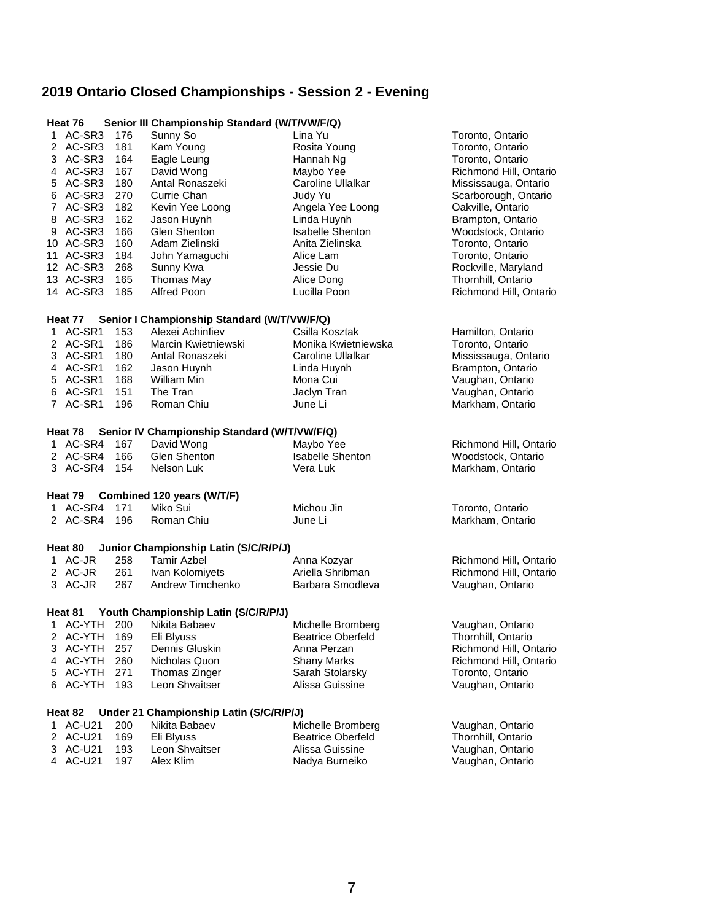| Senior III Championship Standard (W/T/VW/F/Q)<br>Heat 76 |     |                                              |                          |                        |  |  |
|----------------------------------------------------------|-----|----------------------------------------------|--------------------------|------------------------|--|--|
| 1 AC-SR3                                                 | 176 | Sunny So                                     | Lina Yu                  | Toronto, Ontario       |  |  |
| 2 AC-SR3                                                 | 181 | Kam Young                                    | Rosita Young             | Toronto, Ontario       |  |  |
| 3 AC-SR3                                                 | 164 | Eagle Leung                                  | Hannah Ng                | Toronto, Ontario       |  |  |
| 4 AC-SR3                                                 | 167 | David Wong                                   | Maybo Yee                | Richmond Hill, Ontario |  |  |
| 5 AC-SR3                                                 | 180 | Antal Ronaszeki                              | Caroline Ullalkar        | Mississauga, Ontario   |  |  |
| 6 AC-SR3                                                 | 270 | Currie Chan                                  | Judy Yu                  | Scarborough, Ontario   |  |  |
| 7 AC-SR3                                                 | 182 | Kevin Yee Loong                              | Angela Yee Loong         | Oakville, Ontario      |  |  |
| 8 AC-SR3                                                 | 162 | Jason Huynh                                  | Linda Huynh              | Brampton, Ontario      |  |  |
| 9 AC-SR3                                                 | 166 | Glen Shenton                                 | <b>Isabelle Shenton</b>  | Woodstock, Ontario     |  |  |
| 10 AC-SR3                                                | 160 | Adam Zielinski                               | Anita Zielinska          | Toronto, Ontario       |  |  |
| 11 AC-SR3                                                | 184 | John Yamaguchi                               | Alice Lam                | Toronto, Ontario       |  |  |
| 12 AC-SR3                                                | 268 | Sunny Kwa                                    | Jessie Du                | Rockville, Maryland    |  |  |
| 13 AC-SR3                                                | 165 | Thomas May                                   | Alice Dong               | Thornhill, Ontario     |  |  |
| 14 AC-SR3                                                | 185 | Alfred Poon                                  | Lucilla Poon             | Richmond Hill, Ontario |  |  |
| Heat 77                                                  |     | Senior I Championship Standard (W/T/VW/F/Q)  |                          |                        |  |  |
| 1 AC-SR1                                                 | 153 | Alexei Achinfiev                             | Csilla Kosztak           | Hamilton, Ontario      |  |  |
| 2 AC-SR1                                                 | 186 | Marcin Kwietniewski                          | Monika Kwietniewska      | Toronto, Ontario       |  |  |
| 3 AC-SR1                                                 | 180 | Antal Ronaszeki                              | Caroline Ullalkar        | Mississauga, Ontario   |  |  |
| 4 AC-SR1                                                 | 162 | Jason Huynh                                  | Linda Huynh              | Brampton, Ontario      |  |  |
| 5 AC-SR1                                                 | 168 | William Min                                  | Mona Cui                 | Vaughan, Ontario       |  |  |
| 6 AC-SR1                                                 | 151 | The Tran                                     | Jaclyn Tran              | Vaughan, Ontario       |  |  |
| 7 AC-SR1                                                 | 196 | Roman Chiu                                   | June Li                  | Markham, Ontario       |  |  |
| Heat 78                                                  |     | Senior IV Championship Standard (W/T/VW/F/Q) |                          |                        |  |  |
| 1 AC-SR4                                                 | 167 | David Wong                                   | Maybo Yee                | Richmond Hill, Ontario |  |  |
| 2 AC-SR4                                                 | 166 | Glen Shenton                                 | Isabelle Shenton         | Woodstock, Ontario     |  |  |
| 3 AC-SR4                                                 | 154 | Nelson Luk                                   | Vera Luk                 | Markham, Ontario       |  |  |
|                                                          |     |                                              |                          |                        |  |  |
| Heat 79                                                  |     | Combined 120 years (W/T/F)                   |                          |                        |  |  |
| 1 AC-SR4                                                 | 171 | Miko Sui                                     | Michou Jin               | Toronto, Ontario       |  |  |
| 2 AC-SR4                                                 | 196 | Roman Chiu                                   | June Li                  | Markham, Ontario       |  |  |
| Heat 80                                                  |     | Junior Championship Latin (S/C/R/P/J)        |                          |                        |  |  |
| 1 AC-JR                                                  | 258 | <b>Tamir Azbel</b>                           | Anna Kozyar              | Richmond Hill, Ontario |  |  |
| 2 AC-JR                                                  | 261 | Ivan Kolomiyets                              | Ariella Shribman         | Richmond Hill, Ontario |  |  |
| 3 AC-JR                                                  | 267 | Andrew Timchenko                             | Barbara Smodleva         | Vaughan, Ontario       |  |  |
| Heat 81                                                  |     | Youth Championship Latin (S/C/R/P/J)         |                          |                        |  |  |
| 1 AC-YTH                                                 | 200 | Nikita Babaev                                | Michelle Bromberg        | Vaughan, Ontario       |  |  |
| 2 AC-YTH 169                                             |     | Eli Blyuss                                   | <b>Beatrice Oberfeld</b> | Thornhill, Ontario     |  |  |
| 3 AC-YTH                                                 | 257 | Dennis Gluskin                               | Anna Perzan              | Richmond Hill, Ontario |  |  |
| 4 AC-YTH                                                 | 260 | Nicholas Quon                                | <b>Shany Marks</b>       | Richmond Hill, Ontario |  |  |
| 5 AC-YTH                                                 | 271 | Thomas Zinger                                | Sarah Stolarsky          | Toronto, Ontario       |  |  |
| 6 AC-YTH                                                 | 193 | Leon Shvaitser                               | Alissa Guissine          | Vaughan, Ontario       |  |  |
| Heat 82                                                  |     | Under 21 Championship Latin (S/C/R/P/J)      |                          |                        |  |  |
| 1 AC-U21                                                 | 200 | Nikita Babaev                                | Michelle Bromberg        | Vaughan, Ontario       |  |  |
| 2 AC-U21                                                 | 169 | Eli Blyuss                                   | <b>Beatrice Oberfeld</b> | Thornhill, Ontario     |  |  |
| 3 AC-U21                                                 | 193 | Leon Shvaitser                               | Alissa Guissine          | Vaughan, Ontario       |  |  |
| 4 AC-U21                                                 | 197 | Alex Klim                                    | Nadya Burneiko           | Vaughan, Ontario       |  |  |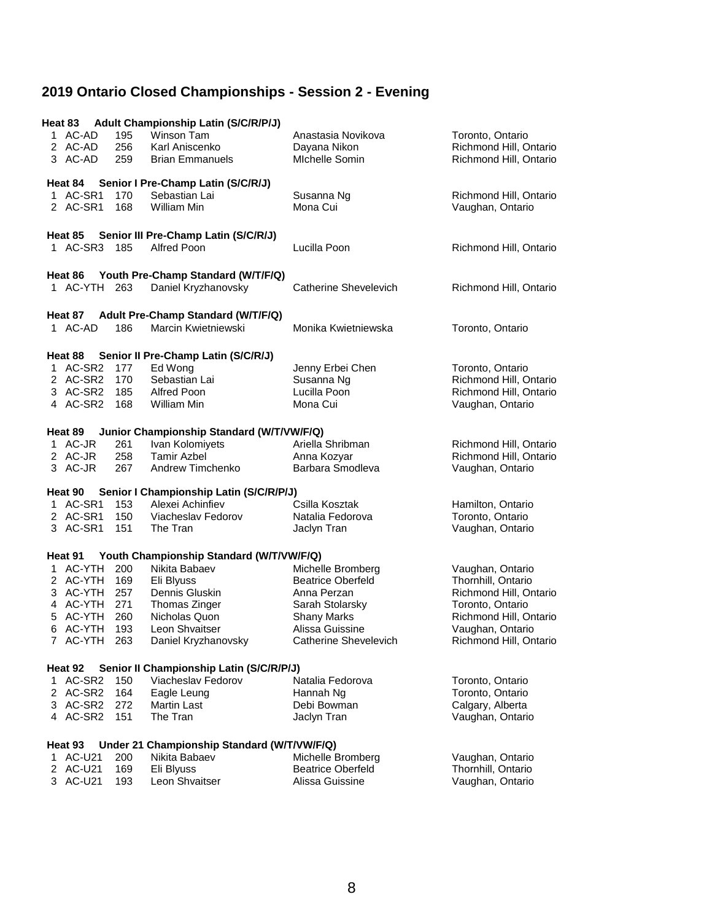| Heat 83<br>1 AC-AD<br>2 AC-AD<br>3 AC-AD                                                    | 195<br>256<br>259                             | <b>Adult Championship Latin (S/C/R/P/J)</b><br><b>Winson Tam</b><br>Karl Aniscenko<br><b>Brian Emmanuels</b>                                                         | Anastasia Novikova<br>Dayana Nikon<br>Michelle Somin                                                                                                     | Toronto, Ontario<br>Richmond Hill, Ontario<br>Richmond Hill, Ontario                                                                                         |
|---------------------------------------------------------------------------------------------|-----------------------------------------------|----------------------------------------------------------------------------------------------------------------------------------------------------------------------|----------------------------------------------------------------------------------------------------------------------------------------------------------|--------------------------------------------------------------------------------------------------------------------------------------------------------------|
| Heat 84<br>1 AC-SR1<br>2 AC-SR1                                                             | 170<br>168                                    | Senior I Pre-Champ Latin (S/C/R/J)<br>Sebastian Lai<br>William Min                                                                                                   | Susanna Ng<br>Mona Cui                                                                                                                                   | Richmond Hill, Ontario<br>Vaughan, Ontario                                                                                                                   |
| Heat 85<br>1 AC-SR3 185                                                                     |                                               | Senior III Pre-Champ Latin (S/C/R/J)<br>Alfred Poon                                                                                                                  | Lucilla Poon                                                                                                                                             | Richmond Hill, Ontario                                                                                                                                       |
| Heat 86<br>1 AC-YTH                                                                         | 263                                           | Youth Pre-Champ Standard (W/T/F/Q)<br>Daniel Kryzhanovsky                                                                                                            | Catherine Shevelevich                                                                                                                                    | Richmond Hill, Ontario                                                                                                                                       |
| Heat 87<br>1 AC-AD                                                                          | 186                                           | Adult Pre-Champ Standard (W/T/F/Q)<br>Marcin Kwietniewski                                                                                                            | Monika Kwietniewska                                                                                                                                      | Toronto, Ontario                                                                                                                                             |
| Heat 88<br>1 AC-SR2<br>2 AC-SR2<br>3 AC-SR2 185<br>4 AC-SR2 168                             | 177<br>170                                    | Senior II Pre-Champ Latin (S/C/R/J)<br>Ed Wong<br>Sebastian Lai<br>Alfred Poon<br>William Min                                                                        | Jenny Erbei Chen<br>Susanna Ng<br>Lucilla Poon<br>Mona Cui                                                                                               | Toronto, Ontario<br>Richmond Hill, Ontario<br>Richmond Hill, Ontario<br>Vaughan, Ontario                                                                     |
| Heat 89<br>1 AC-JR<br>2 AC-JR<br>3 AC-JR                                                    | 261<br>258<br>267                             | Junior Championship Standard (W/T/VW/F/Q)<br>Ivan Kolomiyets<br><b>Tamir Azbel</b><br>Andrew Timchenko                                                               | Ariella Shribman<br>Anna Kozyar<br>Barbara Smodleva                                                                                                      | Richmond Hill, Ontario<br>Richmond Hill, Ontario<br>Vaughan, Ontario                                                                                         |
| Heat 90<br>1 AC-SR1<br>2 AC-SR1<br>3 AC-SR1                                                 | 153<br>150<br>151                             | Senior I Championship Latin (S/C/R/P/J)<br>Alexei Achinfiev<br>Viacheslav Fedorov<br>The Tran                                                                        | Csilla Kosztak<br>Natalia Fedorova<br>Jaclyn Tran                                                                                                        | Hamilton, Ontario<br>Toronto, Ontario<br>Vaughan, Ontario                                                                                                    |
| Heat 91<br>1 AC-YTH<br>2 AC-YTH<br>3 AC-YTH<br>4 AC-YTH<br>5 AC-YTH<br>6 AC-YTH<br>7 AC-YTH | 200<br>169<br>257<br>271<br>260<br>193<br>263 | Youth Championship Standard (W/T/VW/F/Q)<br>Nikita Babaev<br>Eli Blyuss<br>Dennis Gluskin<br>Thomas Zinger<br>Nicholas Quon<br>Leon Shvaitser<br>Daniel Kryzhanovsky | Michelle Bromberg<br><b>Beatrice Oberfeld</b><br>Anna Perzan<br>Sarah Stolarsky<br><b>Shany Marks</b><br>Alissa Guissine<br><b>Catherine Shevelevich</b> | Vaughan, Ontario<br>Thornhill, Ontario<br>Richmond Hill, Ontario<br>Toronto, Ontario<br>Richmond Hill, Ontario<br>Vaughan, Ontario<br>Richmond Hill, Ontario |
| Heat 92<br>1 AC-SR2<br>2 AC-SR2<br>3 AC-SR2<br>4 AC-SR2                                     | 150<br>164<br>272<br>151                      | Senior II Championship Latin (S/C/R/P/J)<br>Viacheslav Fedorov<br>Eagle Leung<br><b>Martin Last</b><br>The Tran                                                      | Natalia Fedorova<br>Hannah Ng<br>Debi Bowman<br>Jaclyn Tran                                                                                              | Toronto, Ontario<br>Toronto, Ontario<br>Calgary, Alberta<br>Vaughan, Ontario                                                                                 |
| Heat 93<br>1 AC-U21<br>2 AC-U21<br>3 AC-U21                                                 | 200<br>169<br>193                             | Under 21 Championship Standard (W/T/VW/F/Q)<br>Nikita Babaev<br>Eli Blyuss<br>Leon Shvaitser                                                                         | Michelle Bromberg<br><b>Beatrice Oberfeld</b><br>Alissa Guissine                                                                                         | Vaughan, Ontario<br>Thornhill, Ontario<br>Vaughan, Ontario                                                                                                   |